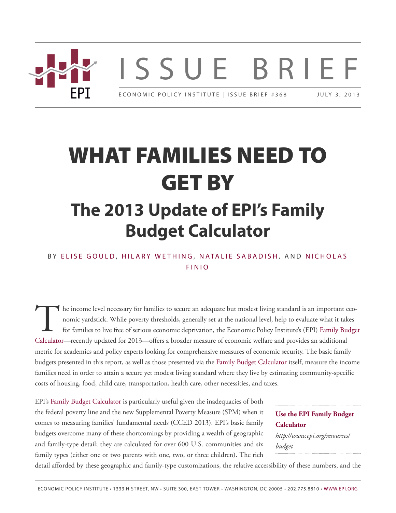

# **WHAT FAMILIES NEED TO GET BY The 2013 Update of EPI's Family Budget Calculator**

#### BY ELIS[E G](http://www.epi.org/people/elise-gould/)OULD, HILAR[Y W](http://www.epi.org/people/hilary-wething/)ETHING, N[ATA](http://www.epi.org/people/natalie-sabadish/)LIE SABADISH, AND NICH[O](http://www.epi.org/people/nicholas-finio/)LAS F I N I [O](http://www.epi.org/people/nicholas-finio/)

The income level necessary for families to secure an adequate but modest living standard is an important of nomic yardstick. While poverty thresholds, generally set at the national level, help to evaluate what it tal for f he income level necessary for families to secure an adequate but modest living standard is an important economic yardstick. While poverty thresholds, generally set at the national level, help to evaluate what it takes for families to live free of serious economic deprivation, the Economic Policy Institute's (EPI) [Family Budget](http://www.epi.org/resources/budget/) metric for academics and policy experts looking for comprehensive measures of economic security. The basic family budgets presented in this report, as well as those presented via the [Family Budget Calculator](http://www.epi.org/resources/budget/) itself, measure the income families need in order to attain a secure yet modest living standard where they live by estimating community-specific costs of housing, food, child care, transportation, health care, other necessities, and taxes.

EPI's Family Budget [Calculator](http://www.epi.org/resources/budget/) is particularly useful given the inadequacies of both the federal poverty line and the new Supplemental Poverty Measure (SPM) when it comes to measuring families' fundamental needs (CCED 2013). EPI's basic family budgets overcome many of these shortcomings by providing a wealth of geographic and family-type detail; they are calculated for over 600 U.S. communities and six family types (either one or two parents with one, two, or three children). The rich

#### **[Use the EPI Family Budget](http://www.epi.org/resources/budget/) [Calculator](http://www.epi.org/resources/budget/)** *http://www.epi.org/resources/ budget*

detail afforded by these geographic and family-type customizations, the relative accessibility of these numbers, and the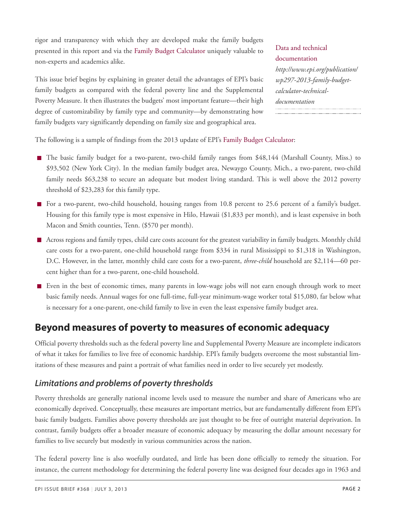rigor and transparency with which they are developed make the family budgets presented in this report and via the Family Budget [Calculator](http://www.epi.org/resources/budget/) uniquely valuable to non-experts and academics alike.

This issue brief begins by explaining in greater detail the advantages of EPI's basic family budgets as compared with the federal poverty line and the Supplemental Poverty Measure. It then illustrates the budgets' most important feature—their high degree of customizability by family type and community—by demonstrating how family budgets vary significantly depending on family size and geographical area.

[Data and technical](http://www.epi.org/publication/wp297-2013-family-budget-calculator-technical-documentation) [documentation](http://www.epi.org/publication/wp297-2013-family-budget-calculator-technical-documentation) *http://www.epi.org/publication/ wp297-2013-family-budgetcalculator-technicaldocumentation*

The following is a sample of findings from the 2013 update of EPI's [Family Budget Calculator](http://www.epi.org/resources/budget/):

- The basic family budget for a two-parent, two-child family ranges from \$48,144 (Marshall County, Miss.) to \$93,502 (New York City). In the median family budget area, Newaygo County, Mich., a two-parent, two-child family needs \$63,238 to secure an adequate but modest living standard. This is well above the 2012 poverty threshold of \$23,283 for this family type.
- For a two-parent, two-child household, housing ranges from 10.8 percent to 25.6 percent of a family's budget. Housing for this family type is most expensive in Hilo, Hawaii (\$1,833 per month), and is least expensive in both Macon and Smith counties, Tenn. (\$570 per month).
- Across regions and family types, child care costs account for the greatest variability in family budgets. Monthly child care costs for a two-parent, one-child household range from \$334 in rural Mississippi to \$1,318 in Washington, D.C. However, in the latter, monthly child care costs for a two-parent, *three-child* household are \$2,114—60 percent higher than for a two-parent, one-child household.
- Even in the best of economic times, many parents in low-wage jobs will not earn enough through work to meet basic family needs. Annual wages for one full-time, full-year minimum-wage worker total \$15,080, far below what is necessary for a one-parent, one-child family to live in even the least expensive family budget area.

# **Beyond measures of poverty to measures of economic adequacy**

Official poverty thresholds such as the federal poverty line and Supplemental Poverty Measure are incomplete indicators of what it takes for families to live free of economic hardship. EPI's family budgets overcome the most substantial limitations of these measures and paint a portrait of what families need in order to live securely yet modestly.

#### *Limitations and problems of poverty thresholds*

Poverty thresholds are generally national income levels used to measure the number and share of Americans who are economically deprived. Conceptually, these measures are important metrics, but are fundamentally different from EPI's basic family budgets. Families above poverty thresholds are just thought to be free of outright material deprivation. In contrast, family budgets offer a broader measure of economic adequacy by measuring the dollar amount necessary for families to live securely but modestly in various communities across the nation.

The federal poverty line is also woefully outdated, and little has been done officially to remedy the situation. For instance, the current methodology for determining the federal poverty line was designed four decades ago in 1963 and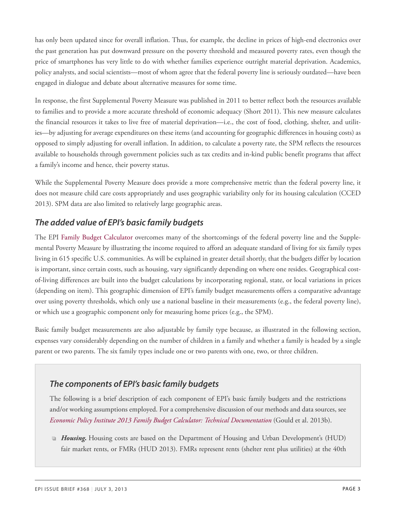has only been updated since for overall inflation. Thus, for example, the decline in prices of high-end electronics over the past generation has put downward pressure on the poverty threshold and measured poverty rates, even though the price of smartphones has very little to do with whether families experience outright material deprivation. Academics, policy analysts, and social scientists—most of whom agree that the federal poverty line is seriously outdated—have been engaged in dialogue and debate about alternative measures for some time.

In response, the first Supplemental Poverty Measure was published in 2011 to better reflect both the resources available to families and to provide a more accurate threshold of economic adequacy (Short 2011). This new measure calculates the financial resources it takes to live free of material deprivation—i.e., the cost of food, clothing, shelter, and utilities—by adjusting for average expenditures on these items (and accounting for geographic differences in housing costs) as opposed to simply adjusting for overall inflation. In addition, to calculate a poverty rate, the SPM reflects the resources available to households through government policies such as tax credits and in-kind public benefit programs that affect a family's income and hence, their poverty status.

While the Supplemental Poverty Measure does provide a more comprehensive metric than the federal poverty line, it does not measure child care costs appropriately and uses geographic variability only for its housing calculation (CCED 2013). SPM data are also limited to relatively large geographic areas.

### *The added value of EPI's basic family budgets*

The EPI Family Budget [Calculator](http://www.epi.org/resources/budget/) overcomes many of the shortcomings of the federal poverty line and the Supplemental Poverty Measure by illustrating the income required to afford an adequate standard of living for six family types living in 615 specific U.S. communities. As will be explained in greater detail shortly, that the budgets differ by location is important, since certain costs, such as housing, vary significantly depending on where one resides. Geographical costof-living differences are built into the budget calculations by incorporating regional, state, or local variations in prices (depending on item). This geographic dimension of EPI's family budget measurements offers a comparative advantage over using poverty thresholds, which only use a national baseline in their measurements (e.g., the federal poverty line), or which use a geographic component only for measuring home prices (e.g., the SPM).

Basic family budget measurements are also adjustable by family type because, as illustrated in the following section, expenses vary considerably depending on the number of children in a family and whether a family is headed by a single parent or two parents. The six family types include one or two parents with one, two, or three children.

### *The components of EPI's basic family budgets*

The following is a brief description of each component of EPI's basic family budgets and the restrictions and/or working assumptions employed. For a comprehensive discussion of our methods and data sources, see *[Economic Policy Institute 2013 Family Budget Calculator: Technical Documentation](http://www.epi.org/publication/wp297-2013-family-budget-calculator-technical-documentation)* (Gould et al. 2013b).

**Housing.** Housing costs are based on the Department of Housing and Urban Development's (HUD) fair market rents, or FMRs (HUD 2013). FMRs represent rents (shelter rent plus utilities) at the 40th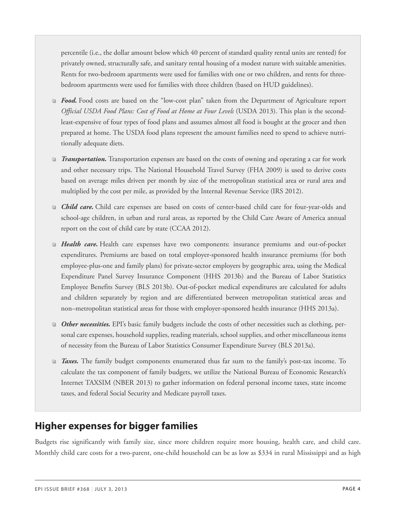percentile (i.e., the dollar amount below which 40 percent of standard quality rental units are rented) for privately owned, structurally safe, and sanitary rental housing of a modest nature with suitable amenities. Rents for two-bedroom apartments were used for families with one or two children, and rents for threebedroom apartments were used for families with three children (based on HUD guidelines).

- *Food.* Food costs are based on the "low-cost plan" taken from the Department of Agriculture report *Official USDA Food Plans: Cost of Food at Home at Four Levels* (USDA 2013). This plan is the secondleast-expensive of four types of food plans and assumes almost all food is bought at the grocer and then prepared at home. The USDA food plans represent the amount families need to spend to achieve nutritionally adequate diets.
- *Transportation.* Transportation expenses are based on the costs of owning and operating a car for work and other necessary trips. The National Household Travel Survey (FHA 2009) is used to derive costs based on average miles driven per month by size of the metropolitan statistical area or rural area and multiplied by the cost per mile, as provided by the Internal Revenue Service (IRS 2012).
- **Child care.** Child care expenses are based on costs of center-based child care for four-year-olds and school-age children, in urban and rural areas, as reported by the Child Care Aware of America annual report on the cost of child care by state (CCAA 2012).
- *Health care.* Health care expenses have two components: insurance premiums and out-of-pocket expenditures. Premiums are based on total employer-sponsored health insurance premiums (for both employee-plus-one and family plans) for private-sector employers by geographic area, using the Medical Expenditure Panel Survey Insurance Component (HHS 2013b) and the Bureau of Labor Statistics Employee Benefits Survey (BLS 2013b). Out-of-pocket medical expenditures are calculated for adults and children separately by region and are differentiated between metropolitan statistical areas and non–metropolitan statistical areas for those with employer-sponsored health insurance (HHS 2013a).
- *Other necessities.* EPI's basic family budgets include the costs of other necessities such as clothing, personal care expenses, household supplies, reading materials, school supplies, and other miscellaneous items of necessity from the Bureau of Labor Statistics Consumer Expenditure Survey (BLS 2013a).
- *Taxes.* The family budget components enumerated thus far sum to the family's post-tax income. To calculate the tax component of family budgets, we utilize the National Bureau of Economic Research's Internet TAXSIM (NBER 2013) to gather information on federal personal income taxes, state income taxes, and federal Social Security and Medicare payroll taxes.

# **Higher expenses for bigger families**

Budgets rise significantly with family size, since more children require more housing, health care, and child care. Monthly child care costs for a two-parent, one-child household can be as low as \$334 in rural Mississippi and as high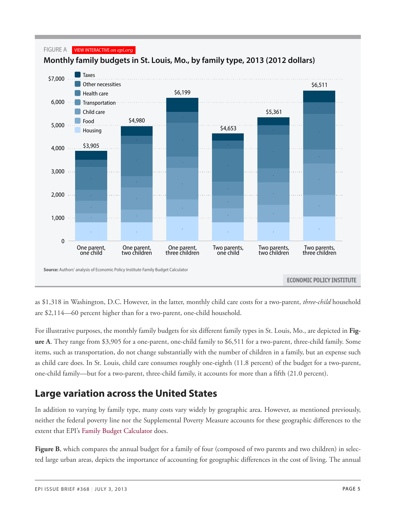

as \$1,318 in Washington, D.C. However, in the latter, monthly child care costs for a two-parent, *three-child* household are \$2,114—60 percent higher than for a two-parent, one-child household.

For illustrative purposes, the monthly family budgets for six different family types in St. Louis, Mo., are depicted in **Figure A**. They range from \$3,905 for a one-parent, one-child family to \$6,511 for a two-parent, three-child family. Some items, such as transportation, do not change substantially with the number of children in a family, but an expense such as child care does. In St. Louis, child care consumes roughly one-eighth (11.8 percent) of the budget for a two-parent, one-child family—but for a two-parent, three-child family, it accounts for more than a fifth (21.0 percent).

# **Large variation across the United States**

In addition to varying by family type, many costs vary widely by geographic area. However, as mentioned previously, neither the federal poverty line nor the Supplemental Poverty Measure accounts for these geographic differences to the extent that EPI's [Family Budget Calculator](http://www.epi.org/resources/budget/) does.

**Figure** B, which compares the annual budget for a family of four (composed of two parents and two children) in selected large urban areas, depicts the importance of accounting for geographic differences in the cost of living. The annual

FIGURE A VIEW INTERACTIVE *on epi.org*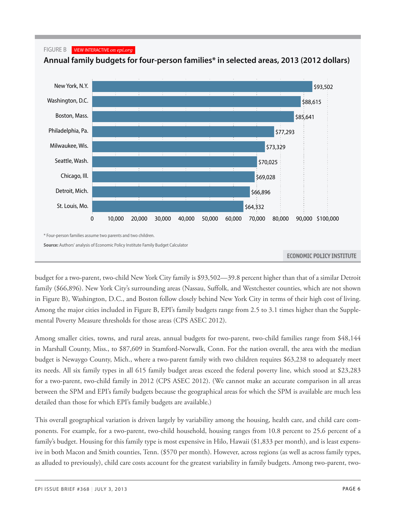#### FIGURE B VIEW INTERACTIVE *on epi.org*



**Annual family budgets for four-person families\* in selected areas, 2013 (2012 dollars)**

budget for a two-parent, two-child New York City family is \$93,502—39.8 percent higher than that of a similar Detroit family (\$66,896). New York City's surrounding areas (Nassau, Suffolk, and Westchester counties, which are not shown in Figure B), Washington, D.C., and Boston follow closely behind New York City in terms of their high cost of living. Among the major cities included in Figure B, EPI's family budgets range from 2.5 to 3.1 times higher than the Supplemental Poverty Measure thresholds for those areas (CPS ASEC 2012).

Among smaller cities, towns, and rural areas, annual budgets for two-parent, two-child families range from \$48,144 in Marshall County, Miss., to \$87,609 in Stamford-Norwalk, Conn. For the nation overall, the area with the median budget is Newaygo County, Mich., where a two-parent family with two children requires \$63,238 to adequately meet its needs. All six family types in all 615 family budget areas exceed the federal poverty line, which stood at \$23,283 for a two-parent, two-child family in 2012 (CPS ASEC 2012). (We cannot make an accurate comparison in all areas between the SPM and EPI's family budgets because the geographical areas for which the SPM is available are much less detailed than those for which EPI's family budgets are available.)

This overall geographical variation is driven largely by variability among the housing, health care, and child care components. For example, for a two-parent, two-child household, housing ranges from 10.8 percent to 25.6 percent of a family's budget. Housing for this family type is most expensive in Hilo, Hawaii (\$1,833 per month), and is least expensive in both Macon and Smith counties, Tenn. (\$570 per month). However, across regions (as well as across family types, as alluded to previously), child care costs account for the greatest variability in family budgets. Among two-parent, two-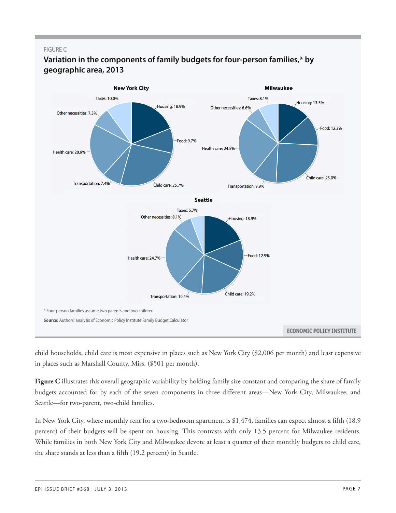#### FIGURE C



#### **Variation in the components of family budgets for four-person families,\* by geographic area, 2013**

child households, child care is most expensive in places such as New York City (\$2,006 per month) and least expensive in places such as Marshall County, Miss. (\$501 per month).

**Figure C** illustrates this overall geographic variability by holding family size constant and comparing the share of family budgets accounted for by each of the seven components in three different areas—New York City, Milwaukee, and Seattle—for two-parent, two-child families.

In New York City, where monthly rent for a two-bedroom apartment is \$1,474, families can expect almost a fifth (18.9 percent) of their budgets will be spent on housing. This contrasts with only 13.5 percent for Milwaukee residents. While families in both New York City and Milwaukee devote at least a quarter of their monthly budgets to child care, the share stands at less than a fifth (19.2 percent) in Seattle.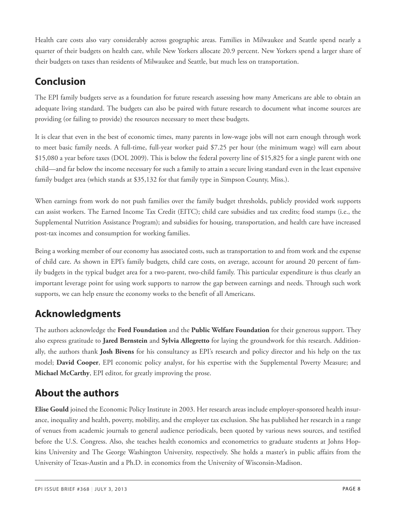Health care costs also vary considerably across geographic areas. Families in Milwaukee and Seattle spend nearly a quarter of their budgets on health care, while New Yorkers allocate 20.9 percent. New Yorkers spend a larger share of their budgets on taxes than residents of Milwaukee and Seattle, but much less on transportation.

# **Conclusion**

The EPI family budgets serve as a foundation for future research assessing how many Americans are able to obtain an adequate living standard. The budgets can also be paired with future research to document what income sources are providing (or failing to provide) the resources necessary to meet these budgets.

It is clear that even in the best of economic times, many parents in low-wage jobs will not earn enough through work to meet basic family needs. A full-time, full-year worker paid \$7.25 per hour (the minimum wage) will earn about \$15,080 a year before taxes (DOL 2009). This is below the federal poverty line of \$15,825 for a single parent with one child—and far below the income necessary for such a family to attain a secure living standard even in the least expensive family budget area (which stands at \$35,132 for that family type in Simpson County, Miss.).

When earnings from work do not push families over the family budget thresholds, publicly provided work supports can assist workers. The Earned Income Tax Credit (EITC); child care subsidies and tax credits; food stamps (i.e., the Supplemental Nutrition Assistance Program); and subsidies for housing, transportation, and health care have increased post-tax incomes and consumption for working families.

Being a working member of our economy has associated costs, such as transportation to and from work and the expense of child care. As shown in EPI's family budgets, child care costs, on average, account for around 20 percent of family budgets in the typical budget area for a two-parent, two-child family. This particular expenditure is thus clearly an important leverage point for using work supports to narrow the gap between earnings and needs. Through such work supports, we can help ensure the economy works to the benefit of all Americans.

# **Acknowledgments**

The authors acknowledge the **Ford Foundation** and the **Public Welfare Foundation** for their generous support. They also express gratitude to **Jared Bernstein** and **Sylvia Allegretto** for laying the groundwork for this research. Additionally, the authors thank **Josh Bivens** for his consultancy as EPI's research and policy director and his help on the tax model; **David Cooper**, EPI economic policy analyst, for his expertise with the Supplemental Poverty Measure; and **Michael McCarthy**, EPI editor, for greatly improving the prose.

# **About the authors**

**Elise Gould** joined the Economic Policy Institute in 2003. Her research areas include employer-sponsored health insurance, inequality and health, poverty, mobility, and the employer tax exclusion. She has published her research in a range of venues from academic journals to general audience periodicals, been quoted by various news sources, and testified before the U.S. Congress. Also, she teaches health economics and econometrics to graduate students at Johns Hopkins University and The George Washington University, respectively. She holds a master's in public affairs from the University of Texas-Austin and a Ph.D. in economics from the University of Wisconsin-Madison.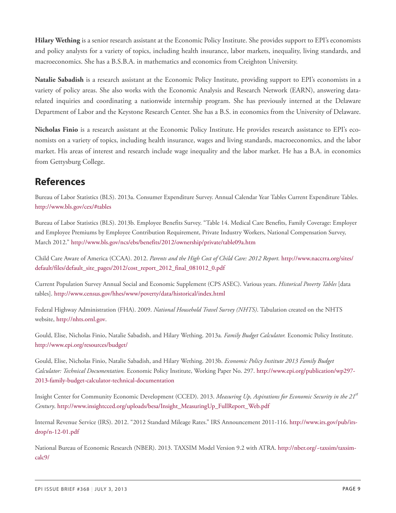**Hilary Wething** is a senior research assistant at the Economic Policy Institute. She provides support to EPI's economists and policy analysts for a variety of topics, including health insurance, labor markets, inequality, living standards, and macroeconomics. She has a B.S.B.A. in mathematics and economics from Creighton University.

**Natalie Sabadish** is a research assistant at the Economic Policy Institute, providing support to EPI's economists in a variety of policy areas. She also works with the Economic Analysis and Research Network (EARN), answering datarelated inquiries and coordinating a nationwide internship program. She has previously interned at the Delaware Department of Labor and the Keystone Research Center. She has a B.S. in economics from the University of Delaware.

**Nicholas Finio** is a research assistant at the Economic Policy Institute. He provides research assistance to EPI's economists on a variety of topics, including health insurance, wages and living standards, macroeconomics, and the labor market. His areas of interest and research include wage inequality and the labor market. He has a B.A. in economics from Gettysburg College.

## **References**

Bureau of Labor Statistics (BLS). 2013a. Consumer Expenditure Survey. Annual Calendar Year Tables Current Expenditure Tables. <http://www.bls.gov/cex/#tables>

Bureau of Labor Statistics (BLS). 2013b. Employee Benefits Survey. "Table 14. Medical Care Benefits, Family Coverage: Employer and Employee Premiums by Employee Contribution Requirement, Private Industry Workers, National Compensation Survey, March 2012." <http://www.bls.gov/ncs/ebs/benefits/2012/ownership/private/table09a.htm>

Child Care Aware of America (CCAA). 2012. *Parents and the High Cost of Child Care: 2012 Report.* [http://www.naccrra.org/sites/](http://www.naccrra.org/sites/default/files/default_site_pages/2012/cost_report_2012_final_081012_0.pdf) [default/files/default\\_site\\_pages/2012/cost\\_report\\_2012\\_final\\_081012\\_0.pdf](http://www.naccrra.org/sites/default/files/default_site_pages/2012/cost_report_2012_final_081012_0.pdf)

Current Population Survey Annual Social and Economic Supplement (CPS ASEC). Various years. *Historical Poverty Tables* [data tables]. <http://www.census.gov/hhes/www/poverty/data/historical/index.html>

Federal Highway Administration (FHA). 2009. *National Household Travel Survey (NHTS)*. Tabulation created on the NHTS website, [http://nhts.ornl.gov.](http://nhts.ornl.gov)

Gould, Elise, Nicholas Finio, Natalie Sabadish, and Hilary Wething. 2013a*. Family Budget Calculator.* Economic Policy Institute. <http://www.epi.org/resources/budget/>

Gould, Elise, Nicholas Finio, Natalie Sabadish, and Hilary Wething. 2013b. *Economic Policy Institute 2013 Family Budget Calculator: Technical Documentation.* Economic Policy Institute, Working Paper No. 297. [http://www.epi.org/publication/wp297-](http://www.epi.org/publication/wp297-2013-family-budget-calculator-technical-documentation) [2013-family-budget-calculator-technical-documentation](http://www.epi.org/publication/wp297-2013-family-budget-calculator-technical-documentation)

Insight Center for Community Economic Development (CCED). 2013. *Measuring Up, Aspirations for Economic Security in the 21st Century*. [http://www.insightcced.org/uploads/besa/Insight\\_MeasuringUp\\_FullReport\\_Web.pdf](http://www.insightcced.org/uploads/besa/Insight_MeasuringUp_FullReport_Web.pdf)

Internal Revenue Service (IRS). 2012. "2012 Standard Mileage Rates." IRS Announcement 2011-116. [http://www.irs.gov/pub/irs](http://www.irs.gov/pub/irs-drop/n-12-01.pdf)[drop/n-12-01.pdf](http://www.irs.gov/pub/irs-drop/n-12-01.pdf)

National Bureau of Economic Research (NBER). 2013. TAXSIM Model Version 9.2 with ATRA. [http://nber.org/~taxsim/taxsim](http://nber.org/~taxsim/taxsim-calc9/)[calc9/](http://nber.org/~taxsim/taxsim-calc9/)